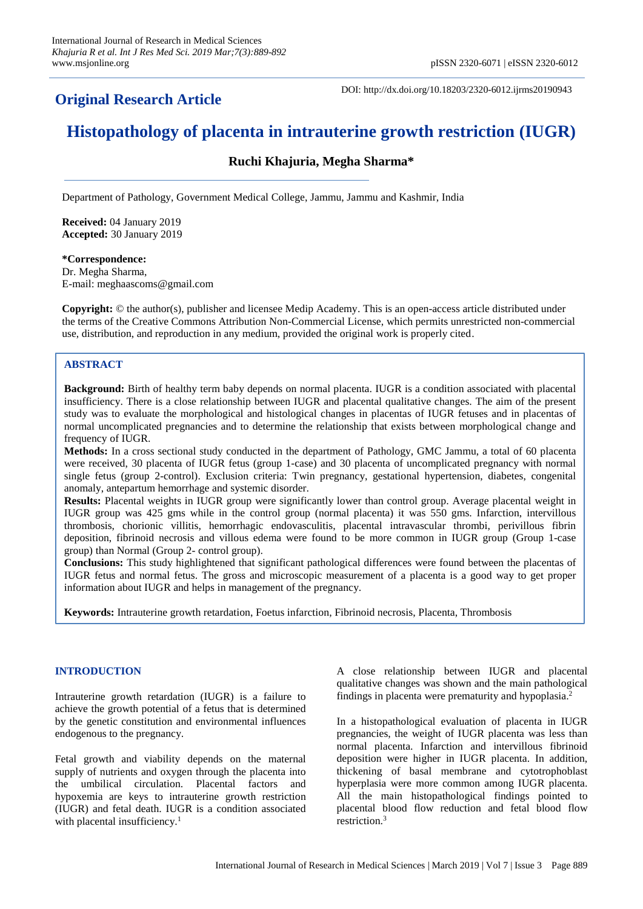## **Original Research Article**

DOI: http://dx.doi.org/10.18203/2320-6012.ijrms20190943

# **Histopathology of placenta in intrauterine growth restriction (IUGR)**

## **Ruchi Khajuria, Megha Sharma\***

Department of Pathology, Government Medical College, Jammu, Jammu and Kashmir, India

**Received:** 04 January 2019 **Accepted:** 30 January 2019

**\*Correspondence:** Dr. Megha Sharma, E-mail: meghaascoms@gmail.com

**Copyright:** © the author(s), publisher and licensee Medip Academy. This is an open-access article distributed under the terms of the Creative Commons Attribution Non-Commercial License, which permits unrestricted non-commercial use, distribution, and reproduction in any medium, provided the original work is properly cited.

## **ABSTRACT**

**Background:** Birth of healthy term baby depends on normal placenta. IUGR is a condition associated with placental insufficiency. There is a close relationship between IUGR and placental qualitative changes. The aim of the present study was to evaluate the morphological and histological changes in placentas of IUGR fetuses and in placentas of normal uncomplicated pregnancies and to determine the relationship that exists between morphological change and frequency of IUGR.

**Methods:** In a cross sectional study conducted in the department of Pathology, GMC Jammu, a total of 60 placenta were received, 30 placenta of IUGR fetus (group 1-case) and 30 placenta of uncomplicated pregnancy with normal single fetus (group 2-control). Exclusion criteria: Twin pregnancy, gestational hypertension, diabetes, congenital anomaly, antepartum hemorrhage and systemic disorder.

**Results:** Placental weights in IUGR group were significantly lower than control group. Average placental weight in IUGR group was 425 gms while in the control group (normal placenta) it was 550 gms. Infarction, intervillous thrombosis, chorionic villitis, hemorrhagic endovasculitis, placental intravascular thrombi, perivillous fibrin deposition, fibrinoid necrosis and villous edema were found to be more common in IUGR group (Group 1-case group) than Normal (Group 2- control group).

**Conclusions:** This study highlightened that significant pathological differences were found between the placentas of IUGR fetus and normal fetus. The gross and microscopic measurement of a placenta is a good way to get proper information about IUGR and helps in management of the pregnancy.

**Keywords:** Intrauterine growth retardation, Foetus infarction, Fibrinoid necrosis, Placenta, Thrombosis

## **INTRODUCTION**

Intrauterine growth retardation (IUGR) is a failure to achieve the growth potential of a fetus that is determined by the genetic constitution and environmental influences endogenous to the pregnancy.

Fetal growth and viability depends on the maternal supply of nutrients and oxygen through the placenta into the umbilical circulation. Placental factors and hypoxemia are keys to intrauterine growth restriction (IUGR) and fetal death. IUGR is a condition associated with placental insufficiency.<sup>1</sup>

A close relationship between IUGR and placental qualitative changes was shown and the main pathological findings in placenta were prematurity and hypoplasia. 2

In a histopathological evaluation of placenta in IUGR pregnancies, the weight of IUGR placenta was less than normal placenta. Infarction and intervillous fibrinoid deposition were higher in IUGR placenta. In addition, thickening of basal membrane and cytotrophoblast hyperplasia were more common among IUGR placenta. All the main histopathological findings pointed to placental blood flow reduction and fetal blood flow restriction. 3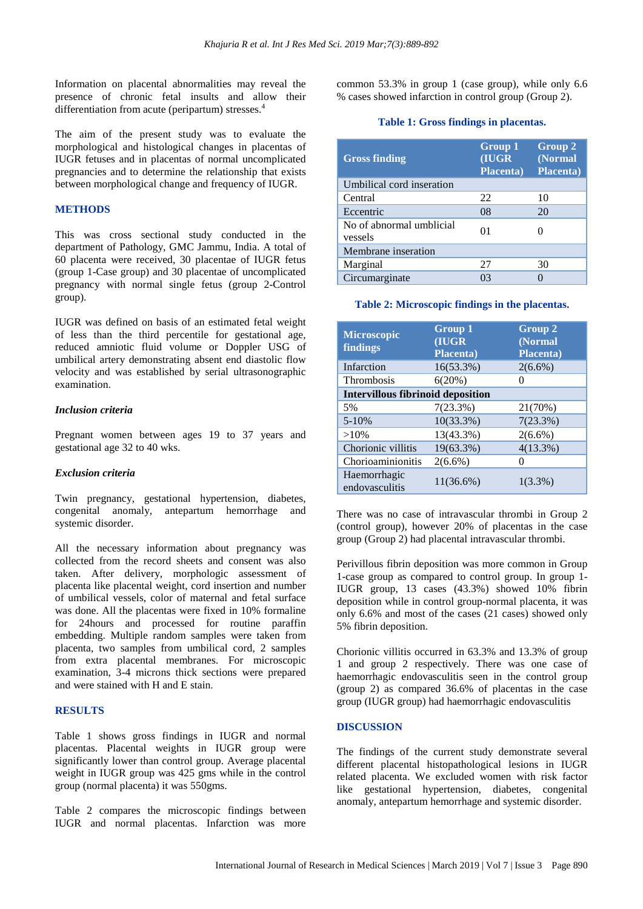Information on placental abnormalities may reveal the presence of chronic fetal insults and allow their differentiation from acute (peripartum) stresses.<sup>4</sup>

The aim of the present study was to evaluate the morphological and histological changes in placentas of IUGR fetuses and in placentas of normal uncomplicated pregnancies and to determine the relationship that exists between morphological change and frequency of IUGR.

#### **METHODS**

This was cross sectional study conducted in the department of Pathology, GMC Jammu, India. A total of 60 placenta were received, 30 placentae of IUGR fetus (group 1-Case group) and 30 placentae of uncomplicated pregnancy with normal single fetus (group 2-Control group).

IUGR was defined on basis of an estimated fetal weight of less than the third percentile for gestational age, reduced amniotic fluid volume or Doppler USG of umbilical artery demonstrating absent end diastolic flow velocity and was established by serial ultrasonographic examination.

#### *Inclusion criteria*

Pregnant women between ages 19 to 37 years and gestational age 32 to 40 wks.

#### *Exclusion criteria*

Twin pregnancy, gestational hypertension, diabetes, congenital anomaly, antepartum hemorrhage and systemic disorder.

All the necessary information about pregnancy was collected from the record sheets and consent was also taken. After delivery, morphologic assessment of placenta like placental weight, cord insertion and number of umbilical vessels, color of maternal and fetal surface was done. All the placentas were fixed in 10% formaline for 24hours and processed for routine paraffin embedding. Multiple random samples were taken from placenta, two samples from umbilical cord, 2 samples from extra placental membranes. For microscopic examination, 3-4 microns thick sections were prepared and were stained with H and E stain.

#### **RESULTS**

Table 1 shows gross findings in IUGR and normal placentas. Placental weights in IUGR group were significantly lower than control group. Average placental weight in IUGR group was 425 gms while in the control group (normal placenta) it was 550gms.

Table 2 compares the microscopic findings between IUGR and normal placentas. Infarction was more common 53.3% in group 1 (case group), while only 6.6 % cases showed infarction in control group (Group 2).

#### **Table 1: Gross findings in placentas.**

| <b>Gross finding</b>                | Group 1<br>(IUGR<br><b>Placenta</b> ) | <b>Group 2</b><br>(Normal<br><b>Placenta</b> ) |
|-------------------------------------|---------------------------------------|------------------------------------------------|
| Umbilical cord inseration           |                                       |                                                |
| Central                             | 22                                    | 10                                             |
| Eccentric                           | 08                                    | 20                                             |
| No of abnormal umblicial<br>vessels | 01                                    |                                                |
| Membrane inseration                 |                                       |                                                |
| Marginal                            | 27                                    | 30                                             |
| Circumarginate                      | 03                                    |                                                |

#### **Table 2: Microscopic findings in the placentas.**

| <b>Microscopic</b><br>findings           | Group 1<br>(IUGR<br><b>Placenta</b> ) | Group 2<br>(Normal<br><b>Placenta</b> ) |  |
|------------------------------------------|---------------------------------------|-----------------------------------------|--|
| Infarction                               | 16(53.3%)                             | $2(6.6\%)$                              |  |
| Thrombosis                               | 6(20%)                                |                                         |  |
| <b>Intervillous fibrinoid deposition</b> |                                       |                                         |  |
| 5%                                       | 7(23.3%)                              | 21(70%)                                 |  |
| $5 - 10%$                                | $10(33.3\%)$                          | 7(23.3%)                                |  |
| $>10\%$                                  | 13(43.3%)                             | $2(6.6\%)$                              |  |
| Chorionic villitis                       | 19(63.3%)                             | 4(13.3%)                                |  |
| Chorioaminionitis                        | $2(6.6\%)$                            |                                         |  |
| Haemorrhagic<br>endovasculitis           | $11(36.6\%)$                          | $1(3.3\%)$                              |  |

There was no case of intravascular thrombi in Group 2 (control group), however 20% of placentas in the case group (Group 2) had placental intravascular thrombi.

Perivillous fibrin deposition was more common in Group 1-case group as compared to control group. In group 1- IUGR group, 13 cases (43.3%) showed 10% fibrin deposition while in control group-normal placenta, it was only 6.6% and most of the cases (21 cases) showed only 5% fibrin deposition.

Chorionic villitis occurred in 63.3% and 13.3% of group 1 and group 2 respectively. There was one case of haemorrhagic endovasculitis seen in the control group (group 2) as compared 36.6% of placentas in the case group (IUGR group) had haemorrhagic endovasculitis

#### **DISCUSSION**

The findings of the current study demonstrate several different placental histopathological lesions in IUGR related placenta. We excluded women with risk factor like gestational hypertension, diabetes, congenital anomaly, antepartum hemorrhage and systemic disorder.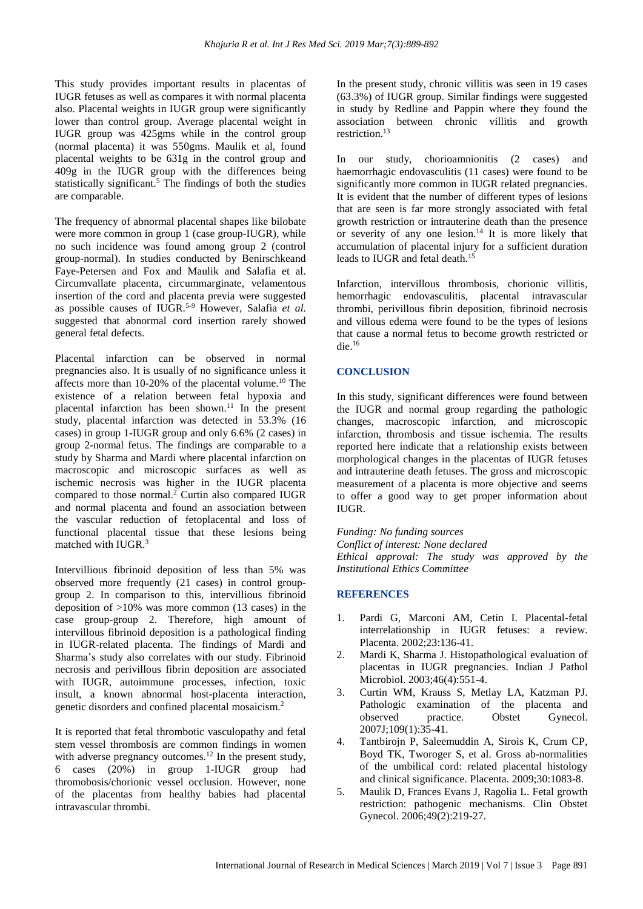This study provides important results in placentas of IUGR fetuses as well as compares it with normal placenta also. Placental weights in IUGR group were significantly lower than control group. Average placental weight in IUGR group was 425gms while in the control group (normal placenta) it was 550gms. Maulik et al, found placental weights to be 631g in the control group and 409g in the IUGR group with the differences being statistically significant.<sup>5</sup> The findings of both the studies are comparable.

The frequency of abnormal placental shapes like bilobate were more common in group 1 (case group-IUGR), while no such incidence was found among group 2 (control group-normal). In studies conducted by Benirschkeand Faye-Petersen and Fox and Maulik and Salafia et al. Circumvallate placenta, circummarginate, velamentous insertion of the cord and placenta previa were suggested as possible causes of IUGR. 5-9 However, Salafia *et al.* suggested that abnormal cord insertion rarely showed general fetal defects.

Placental infarction can be observed in normal pregnancies also. It is usually of no significance unless it affects more than 10-20% of the placental volume.<sup>10</sup> The existence of a relation between fetal hypoxia and placental infarction has been shown.<sup>11</sup> In the present study, placental infarction was detected in 53.3% (16 cases) in group 1-IUGR group and only 6.6% (2 cases) in group 2-normal fetus. The findings are comparable to a study by Sharma and Mardi where placental infarction on macroscopic and microscopic surfaces as well as ischemic necrosis was higher in the IUGR placenta compared to those normal.<sup>2</sup> Curtin also compared IUGR and normal placenta and found an association between the vascular reduction of fetoplacental and loss of functional placental tissue that these lesions being matched with IUGR.<sup>3</sup>

Intervillious fibrinoid deposition of less than 5% was observed more frequently (21 cases) in control groupgroup 2. In comparison to this, intervillious fibrinoid deposition of >10% was more common (13 cases) in the case group-group 2. Therefore, high amount of intervillous fibrinoid deposition is a pathological finding in IUGR-related placenta. The findings of Mardi and Sharma's study also correlates with our study. Fibrinoid necrosis and perivillous fibrin deposition are associated with IUGR, autoimmune processes, infection, toxic insult, a known abnormal host-placenta interaction, genetic disorders and confined placental mosaicism. 2

It is reported that fetal thrombotic vasculopathy and fetal stem vessel thrombosis are common findings in women with adverse pregnancy outcomes.<sup>12</sup> In the present study, 6 cases (20%) in group 1-IUGR group had thromobosis/chorionic vessel occlusion. However, none of the placentas from healthy babies had placental intravascular thrombi.

In the present study, chronic villitis was seen in 19 cases (63.3%) of IUGR group. Similar findings were suggested in study by Redline and Pappin where they found the association between chronic villitis and growth restriction.<sup>13</sup>

In our study, chorioamnionitis (2 cases) and haemorrhagic endovasculitis (11 cases) were found to be significantly more common in IUGR related pregnancies. It is evident that the number of different types of lesions that are seen is far more strongly associated with fetal growth restriction or intrauterine death than the presence or severity of any one lesion.<sup>14</sup> It is more likely that accumulation of placental injury for a sufficient duration leads to IUGR and fetal death. 15

Infarction, intervillous thrombosis, chorionic villitis, hemorrhagic endovasculitis, placental intravascular thrombi, perivillous fibrin deposition, fibrinoid necrosis and villous edema were found to be the types of lesions that cause a normal fetus to become growth restricted or die. 16

## **CONCLUSION**

In this study, significant differences were found between the IUGR and normal group regarding the pathologic changes, macroscopic infarction, and microscopic infarction, thrombosis and tissue ischemia. The results reported here indicate that a relationship exists between morphological changes in the placentas of IUGR fetuses and intrauterine death fetuses. The gross and microscopic measurement of a placenta is more objective and seems to offer a good way to get proper information about IUGR.

*Funding: No funding sources Conflict of interest: None declared Ethical approval: The study was approved by the Institutional Ethics Committee*

#### **REFERENCES**

- 1. Pardi G, Marconi AM, Cetin I. Placental-fetal interrelationship in IUGR fetuses: a review. Placenta. 2002;23:136-41.
- 2. Mardi K, Sharma J. Histopathological evaluation of placentas in IUGR pregnancies. Indian J Pathol Microbiol. 2003;46(4):551-4.
- 3. Curtin WM, Krauss S, Metlay LA, Katzman PJ. Pathologic examination of the placenta and observed practice. Obstet Gynecol. 2007J;109(1):35-41.
- 4. Tantbirojn P, Saleemuddin A, Sirois K, Crum CP, Boyd TK, Tworoger S, et al. Gross ab-normalities of the umbilical cord: related placental histology and clinical significance. Placenta. 2009;30:1083-8.
- 5. Maulik D, Frances Evans J, Ragolia L. Fetal growth restriction: pathogenic mechanisms. Clin Obstet Gynecol. 2006;49(2):219-27.